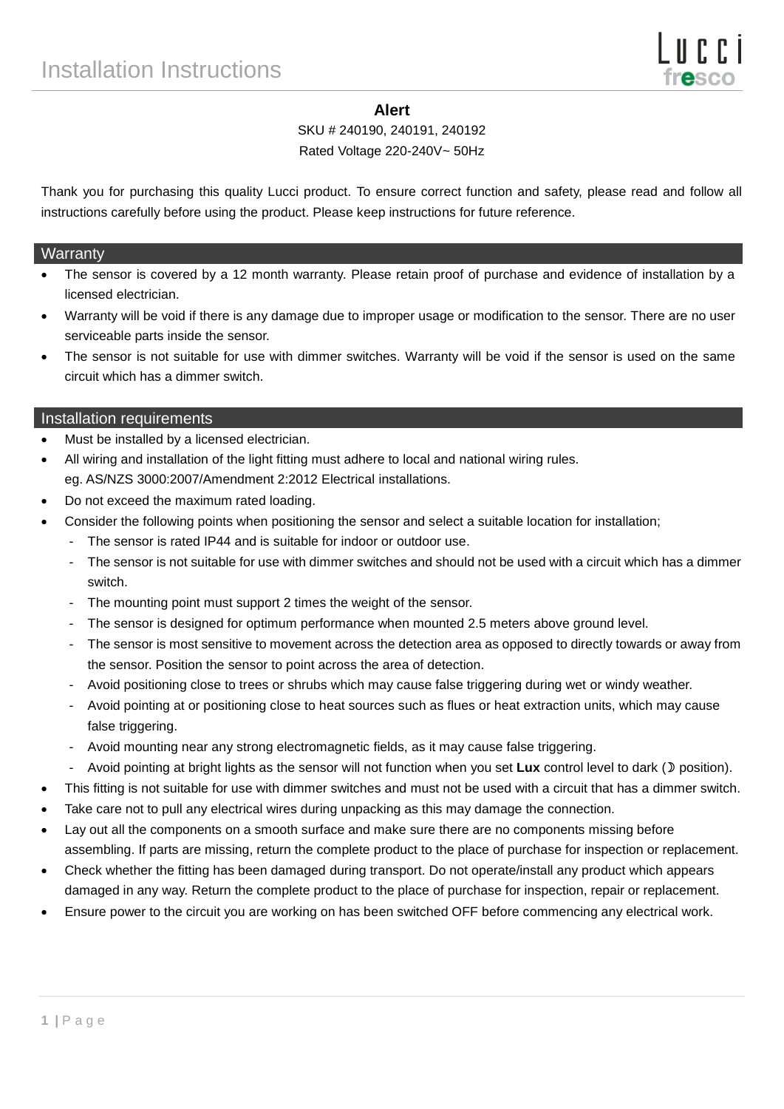### **Alert**

SKU # 240190, 240191, 240192

Rated Voltage 220-240V~ 50Hz

Thank you for purchasing this quality Lucci product. To ensure correct function and safety, please read and follow all instructions carefully before using the product. Please keep instructions for future reference.

#### **Warranty**

- The sensor is covered by a 12 month warranty. Please retain proof of purchase and evidence of installation by a licensed electrician.
- Warranty will be void if there is any damage due to improper usage or modification to the sensor. There are no user serviceable parts inside the sensor.
- The sensor is not suitable for use with dimmer switches. Warranty will be void if the sensor is used on the same circuit which has a dimmer switch.

#### Installation requirements

- Must be installed by a licensed electrician.
- All wiring and installation of the light fitting must adhere to local and national wiring rules. eg. AS/NZS 3000:2007/Amendment 2:2012 Electrical installations.
- Do not exceed the maximum rated loading.
- Consider the following points when positioning the sensor and select a suitable location for installation;
	- The sensor is rated IP44 and is suitable for indoor or outdoor use.
		- The sensor is not suitable for use with dimmer switches and should not be used with a circuit which has a dimmer switch.
	- The mounting point must support 2 times the weight of the sensor.
	- The sensor is designed for optimum performance when mounted 2.5 meters above ground level.
	- The sensor is most sensitive to movement across the detection area as opposed to directly towards or away from the sensor. Position the sensor to point across the area of detection.
	- Avoid positioning close to trees or shrubs which may cause false triggering during wet or windy weather.
	- Avoid pointing at or positioning close to heat sources such as flues or heat extraction units, which may cause false triggering.
	- Avoid mounting near any strong electromagnetic fields, as it may cause false triggering.
	- Avoid pointing at bright lights as the sensor will not function when you set Lux control level to dark ( $D$  position).
- This fitting is not suitable for use with dimmer switches and must not be used with a circuit that has a dimmer switch.
- Take care not to pull any electrical wires during unpacking as this may damage the connection.
- Lay out all the components on a smooth surface and make sure there are no components missing before assembling. If parts are missing, return the complete product to the place of purchase for inspection or replacement.
- Check whether the fitting has been damaged during transport. Do not operate/install any product which appears damaged in any way. Return the complete product to the place of purchase for inspection, repair or replacement.
- Ensure power to the circuit you are working on has been switched OFF before commencing any electrical work.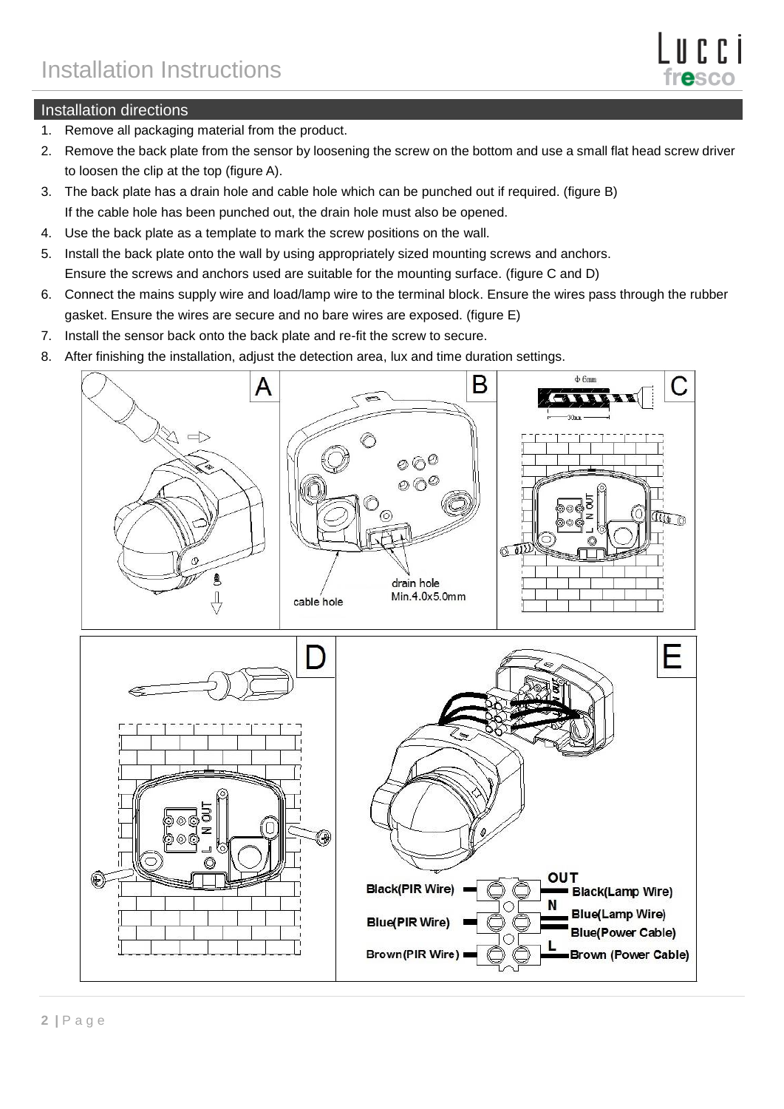

# Installation directions

- 1. Remove all packaging material from the product.
- 2. Remove the back plate from the sensor by loosening the screw on the bottom and use a small flat head screw driver to loosen the clip at the top (figure A).
- 3. The back plate has a drain hole and cable hole which can be punched out if required. (figure B) If the cable hole has been punched out, the drain hole must also be opened.
- 4. Use the back plate as a template to mark the screw positions on the wall.
- 5. Install the back plate onto the wall by using appropriately sized mounting screws and anchors. Ensure the screws and anchors used are suitable for the mounting surface. (figure C and D)
- 6. Connect the mains supply wire and load/lamp wire to the terminal block. Ensure the wires pass through the rubber gasket. Ensure the wires are secure and no bare wires are exposed. (figure E)
- 7. Install the sensor back onto the back plate and re-fit the screw to secure.
- 8. After finishing the installation, adjust the detection area, lux and time duration settings.

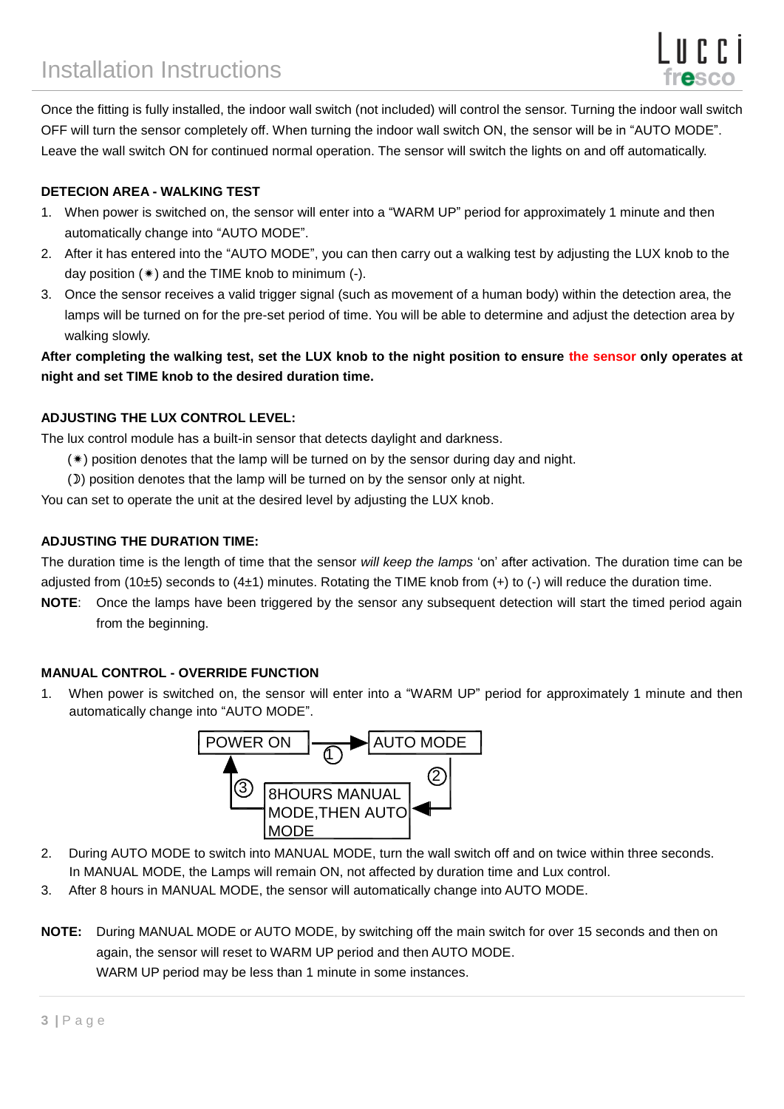

Once the fitting is fully installed, the indoor wall switch (not included) will control the sensor. Turning the indoor wall switch OFF will turn the sensor completely off. When turning the indoor wall switch ON, the sensor will be in "AUTO MODE". Leave the wall switch ON for continued normal operation. The sensor will switch the lights on and off automatically.

### **DETECION AREA - WALKING TEST**

- 1. When power is switched on, the sensor will enter into a "WARM UP" period for approximately 1 minute and then automatically change into "AUTO MODE".
- 2. After it has entered into the "AUTO MODE", you can then carry out a walking test by adjusting the LUX knob to the day position  $(*)$  and the TIME knob to minimum  $(-)$ .
- 3. Once the sensor receives a valid trigger signal (such as movement of a human body) within the detection area, the lamps will be turned on for the pre-set period of time. You will be able to determine and adjust the detection area by walking slowly.

**After completing the walking test, set the LUX knob to the night position to ensure the sensor only operates at night and set TIME knob to the desired duration time.**

### **ADJUSTING THE LUX CONTROL LEVEL:**

The lux control module has a built-in sensor that detects daylight and darkness.

- $(*)$  position denotes that the lamp will be turned on by the sensor during day and night.
- ()) position denotes that the lamp will be turned on by the sensor only at night.

You can set to operate the unit at the desired level by adjusting the LUX knob.

#### **ADJUSTING THE DURATION TIME:**

The duration time is the length of time that the sensor *will keep the lamps* 'on' after activation. The duration time can be adjusted from (10±5) seconds to (4±1) minutes. Rotating the TIME knob from (+) to (-) will reduce the duration time.

**NOTE**: Once the lamps have been triggered by the sensor any subsequent detection will start the timed period again from the beginning.

#### **MANUAL CONTROL - OVERRIDE FUNCTION**

1. When power is switched on, the sensor will enter into a "WARM UP" period for approximately 1 minute and then automatically change into "AUTO MODE".



- 2. During AUTO MODE to switch into MANUAL MODE, turn the wall switch off and on twice within three seconds. In MANUAL MODE, the Lamps will remain ON, not affected by duration time and Lux control.
- 3. After 8 hours in MANUAL MODE, the sensor will automatically change into AUTO MODE.
- **NOTE:** During MANUAL MODE or AUTO MODE, by switching off the main switch for over 15 seconds and then on again, the sensor will reset to WARM UP period and then AUTO MODE. WARM UP period may be less than 1 minute in some instances.